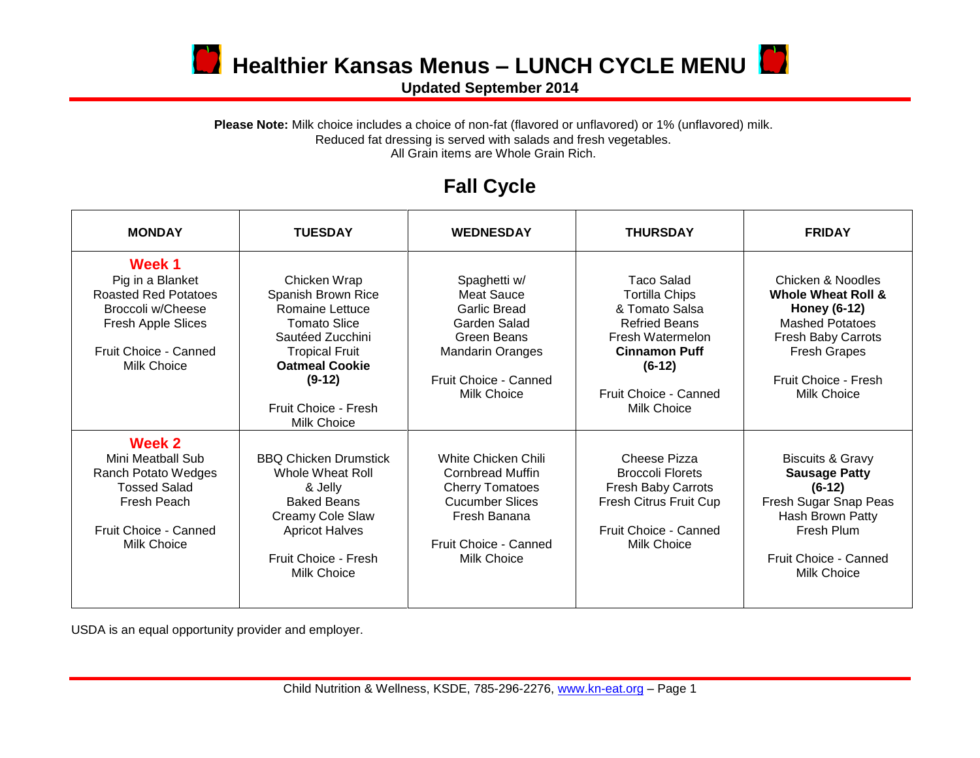

**D** Healthier Kansas Menus – LUNCH CYCLE MENU

**Updated September 2014**

## Please Note: Milk choice includes a choice of non-fat (flavored or unflavored) or 1% (unflavored) milk. Reduced fat dressing is served with salads and fresh vegetables. All Grain items are Whole Grain Rich.

## **Fall Cycle**

| <b>MONDAY</b>                                                                                                                                       | <b>TUESDAY</b>                                                                                                                                                                                                      | <b>WEDNESDAY</b>                                                                                                                                                  | <b>THURSDAY</b>                                                                                                                                                                      | <b>FRIDAY</b>                                                                                                                                                                                         |
|-----------------------------------------------------------------------------------------------------------------------------------------------------|---------------------------------------------------------------------------------------------------------------------------------------------------------------------------------------------------------------------|-------------------------------------------------------------------------------------------------------------------------------------------------------------------|--------------------------------------------------------------------------------------------------------------------------------------------------------------------------------------|-------------------------------------------------------------------------------------------------------------------------------------------------------------------------------------------------------|
| Week 1<br>Pig in a Blanket<br><b>Roasted Red Potatoes</b><br><b>Broccoli w/Cheese</b><br>Fresh Apple Slices<br>Fruit Choice - Canned<br>Milk Choice | Chicken Wrap<br>Spanish Brown Rice<br><b>Romaine Lettuce</b><br><b>Tomato Slice</b><br>Sautéed Zucchini<br><b>Tropical Fruit</b><br><b>Oatmeal Cookie</b><br>$(9-12)$<br>Fruit Choice - Fresh<br><b>Milk Choice</b> | Spaghetti w/<br><b>Meat Sauce</b><br><b>Garlic Bread</b><br>Garden Salad<br>Green Beans<br><b>Mandarin Oranges</b><br>Fruit Choice - Canned<br><b>Milk Choice</b> | Taco Salad<br><b>Tortilla Chips</b><br>& Tomato Salsa<br><b>Refried Beans</b><br>Fresh Watermelon<br><b>Cinnamon Puff</b><br>$(6-12)$<br>Fruit Choice - Canned<br><b>Milk Choice</b> | Chicken & Noodles<br><b>Whole Wheat Roll &amp;</b><br><b>Honey (6-12)</b><br><b>Mashed Potatoes</b><br><b>Fresh Baby Carrots</b><br><b>Fresh Grapes</b><br>Fruit Choice - Fresh<br><b>Milk Choice</b> |
| Week 2<br>Mini Meatball Sub<br>Ranch Potato Wedges<br><b>Tossed Salad</b><br>Fresh Peach<br>Fruit Choice - Canned<br>Milk Choice                    | <b>BBQ Chicken Drumstick</b><br>Whole Wheat Roll<br>& Jelly<br><b>Baked Beans</b><br>Creamy Cole Slaw<br><b>Apricot Halves</b><br>Fruit Choice - Fresh<br><b>Milk Choice</b>                                        | White Chicken Chili<br>Cornbread Muffin<br><b>Cherry Tomatoes</b><br><b>Cucumber Slices</b><br>Fresh Banana<br>Fruit Choice - Canned<br>Milk Choice               | Cheese Pizza<br><b>Broccoli Florets</b><br><b>Fresh Baby Carrots</b><br>Fresh Citrus Fruit Cup<br>Fruit Choice - Canned<br><b>Milk Choice</b>                                        | <b>Biscuits &amp; Gravy</b><br><b>Sausage Patty</b><br>$(6-12)$<br>Fresh Sugar Snap Peas<br>Hash Brown Patty<br>Fresh Plum<br>Fruit Choice - Canned<br>Milk Choice                                    |

USDA is an equal opportunity provider and employer.